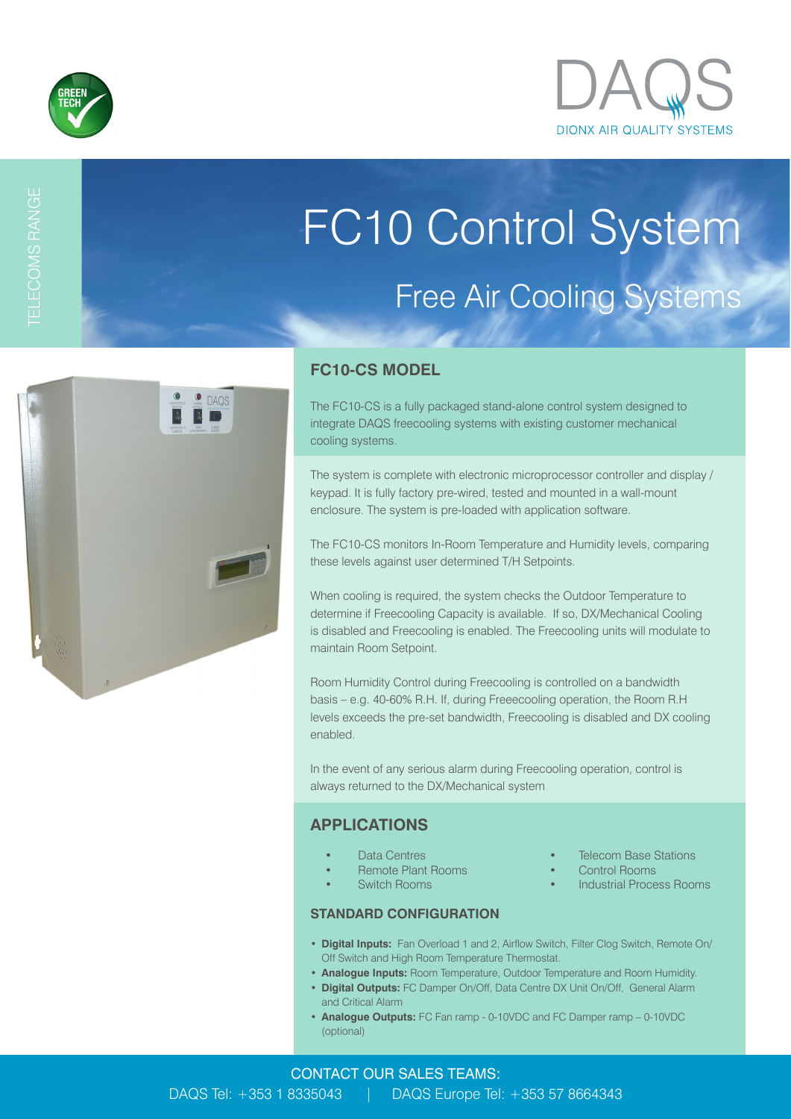

# FC10 Control System Free Air Cooling Systems

# DAOS

### **FC10-CS MODEL**

The FC10-CS is a fully packaged stand-alone control system designed to integrate DAQS freecooling systems with existing customer mechanical cooling systems.

The system is complete with electronic microprocessor controller and display / keypad. It is fully factory pre-wired, tested and mounted in a wall-mount enclosure. The system is pre-loaded with application software.

The FC10-CS monitors In-Room Temperature and Humidity levels, comparing these levels against user determined T/H Setpoints.

When cooling is required, the system checks the Outdoor Temperature to determine if Freecooling Capacity is available. If so, DX/Mechanical Cooling is disabled and Freecooling is enabled. The Freecooling units will modulate to maintain Room Setpoint.

Room Humidity Control during Freecooling is controlled on a bandwidth basis – e.g. 40-60% R.H. If, during Freeecooling operation, the Room R.H levels exceeds the pre-set bandwidth, Freecooling is disabled and DX cooling enabled.

In the event of any serious alarm during Freecooling operation, control is always returned to the DX/Mechanical system

### **APPLICATIONS**

- **Data Centres Telecom Base Stations**
- Remote Plant Rooms Control Rooms
- 

- **STANDARD CONFIGURATION**
- 
- Switch Rooms Industrial Process Rooms
- **Digital Inputs:** Fan Overload 1 and 2, Airflow Switch, Filter Clog Switch, Remote On/ Off Switch and High Room Temperature Thermostat.
- **Analogue Inputs:** Room Temperature, Outdoor Temperature and Room Humidity.
- **Digital Outputs:** FC Damper On/Off, Data Centre DX Unit On/Off, General Alarm and Critical Alarm
- **Analogue Outputs:** FC Fan ramp 0-10VDC and FC Damper ramp 0-10VDC (optional)

### CONTACT OUR SALES TEAMS: DAQS Tel: +353 1 8335043 | DAQS Europe Tel: +353 57 8664343